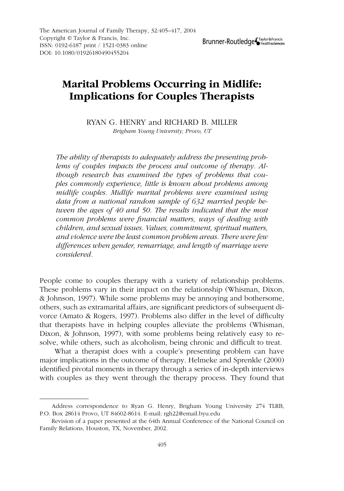# **Marital Problems Occurring in Midlife: Implications for Couples Therapists**

RYAN G. HENRY and RICHARD B. MILLER *Brigham Young University, Provo, UT*

*The ability of therapists to adequately address the presenting problems of couples impacts the process and outcome of therapy. Although research has examined the types of problems that couples commonly experience, little is known about problems among midlife couples. Midlife marital problems were examined using data from a national random sample of 632 married people between the ages of 40 and 50. The results indicated that the most common problems were financial matters, ways of dealing with children, and sexual issues. Values, commitment, spiritual matters, and violence were the least common problem areas. There were few differences when gender, remarriage, and length of marriage were considered.*

People come to couples therapy with a variety of relationship problems. These problems vary in their impact on the relationship (Whisman, Dixon, & Johnson, 1997). While some problems may be annoying and bothersome, others, such as extramarital affairs, are significant predictors of subsequent divorce (Amato & Rogers, 1997). Problems also differ in the level of difficulty that therapists have in helping couples alleviate the problems (Whisman, Dixon, & Johnson, 1997), with some problems being relatively easy to resolve, while others, such as alcoholism, being chronic and difficult to treat.

What a therapist does with a couple's presenting problem can have major implications in the outcome of therapy. Helmeke and Sprenkle (2000) identified pivotal moments in therapy through a series of in-depth interviews with couples as they went through the therapy process. They found that

Address correspondence to Ryan G. Henry, Brigham Young University 274 TLRB, P.O. Box 28614 Provo, UT 84602-8614. E-mail: rgh22@email.byu.edu

Revision of a paper presented at the 64th Annual Conference of the National Council on Family Relations, Houston, TX, November, 2002.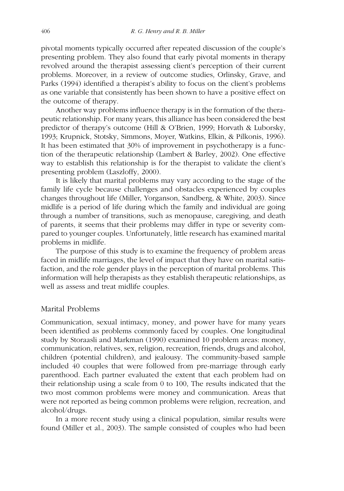pivotal moments typically occurred after repeated discussion of the couple's presenting problem. They also found that early pivotal moments in therapy revolved around the therapist assessing client's perception of their current problems. Moreover, in a review of outcome studies, Orlinsky, Grave, and Parks (1994) identified a therapist's ability to focus on the client's problems as one variable that consistently has been shown to have a positive effect on the outcome of therapy.

Another way problems influence therapy is in the formation of the therapeutic relationship. For many years, this alliance has been considered the best predictor of therapy's outcome (Hill & O'Brien, 1999; Horvath & Luborsky, 1993; Krupnick, Stotsky, Simmons, Moyer, Watkins, Elkin, & Pilkonis, 1996). It has been estimated that 30% of improvement in psychotherapy is a function of the therapeutic relationship (Lambert & Barley, 2002). One effective way to establish this relationship is for the therapist to validate the client's presenting problem (Laszloffy, 2000).

It is likely that marital problems may vary according to the stage of the family life cycle because challenges and obstacles experienced by couples changes throughout life (Miller, Yorganson, Sandberg, & White, 2003). Since midlife is a period of life during which the family and individual are going through a number of transitions, such as menopause, caregiving, and death of parents, it seems that their problems may differ in type or severity compared to younger couples. Unfortunately, little research has examined marital problems in midlife.

The purpose of this study is to examine the frequency of problem areas faced in midlife marriages, the level of impact that they have on marital satisfaction, and the role gender plays in the perception of marital problems. This information will help therapists as they establish therapeutic relationships, as well as assess and treat midlife couples.

#### Marital Problems

Communication, sexual intimacy, money, and power have for many years been identified as problems commonly faced by couples. One longitudinal study by Storaasli and Markman (1990) examined 10 problem areas: money, communication, relatives, sex, religion, recreation, friends, drugs and alcohol, children (potential children), and jealousy. The community-based sample included 40 couples that were followed from pre-marriage through early parenthood. Each partner evaluated the extent that each problem had on their relationship using a scale from 0 to 100, The results indicated that the two most common problems were money and communication. Areas that were not reported as being common problems were religion, recreation, and alcohol/drugs.

In a more recent study using a clinical population, similar results were found (Miller et al., 2003). The sample consisted of couples who had been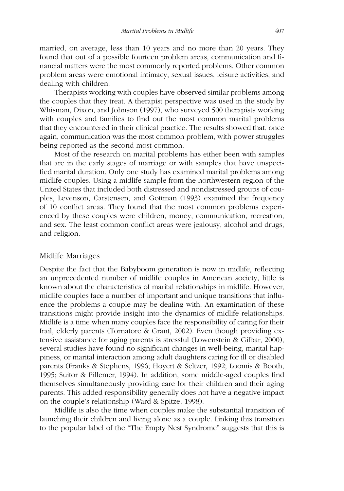married, on average, less than 10 years and no more than 20 years. They found that out of a possible fourteen problem areas, communication and financial matters were the most commonly reported problems. Other common problem areas were emotional intimacy, sexual issues, leisure activities, and dealing with children.

Therapists working with couples have observed similar problems among the couples that they treat. A therapist perspective was used in the study by Whisman, Dixon, and Johnson (1997), who surveyed 500 therapists working with couples and families to find out the most common marital problems that they encountered in their clinical practice. The results showed that, once again, communication was the most common problem, with power struggles being reported as the second most common.

Most of the research on marital problems has either been with samples that are in the early stages of marriage or with samples that have unspecified marital duration. Only one study has examined marital problems among midlife couples. Using a midlife sample from the northwestern region of the United States that included both distressed and nondistressed groups of couples, Levenson, Carstensen, and Gottman (1993) examined the frequency of 10 conflict areas. They found that the most common problems experienced by these couples were children, money, communication, recreation, and sex. The least common conflict areas were jealousy, alcohol and drugs, and religion.

#### Midlife Marriages

Despite the fact that the Babyboom generation is now in midlife, reflecting an unprecedented number of midlife couples in American society, little is known about the characteristics of marital relationships in midlife. However, midlife couples face a number of important and unique transitions that influence the problems a couple may be dealing with. An examination of these transitions might provide insight into the dynamics of midlife relationships. Midlife is a time when many couples face the responsibility of caring for their frail, elderly parents (Tornatore & Grant, 2002). Even though providing extensive assistance for aging parents is stressful (Lowenstein & Gilbar, 2000), several studies have found no significant changes in well-being, marital happiness, or marital interaction among adult daughters caring for ill or disabled parents (Franks & Stephens, 1996; Hoyert & Seltzer, 1992; Loomis & Booth, 1995; Suitor & Pillemer, 1994). In addition, some middle-aged couples find themselves simultaneously providing care for their children and their aging parents. This added responsibility generally does not have a negative impact on the couple's relationship (Ward & Spitze, 1998).

Midlife is also the time when couples make the substantial transition of launching their children and living alone as a couple. Linking this transition to the popular label of the "The Empty Nest Syndrome" suggests that this is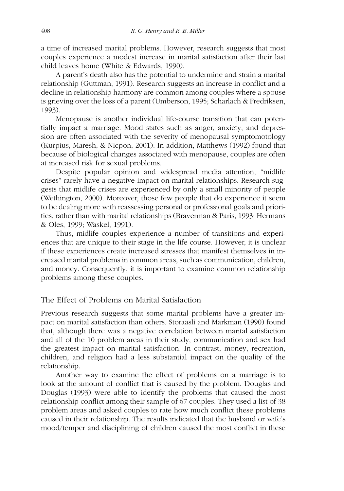a time of increased marital problems. However, research suggests that most couples experience a modest increase in marital satisfaction after their last child leaves home (White & Edwards, 1990).

A parent's death also has the potential to undermine and strain a marital relationship (Guttman, 1991). Research suggests an increase in conflict and a decline in relationship harmony are common among couples where a spouse is grieving over the loss of a parent (Umberson, 1995; Scharlach & Fredriksen, 1993).

Menopause is another individual life-course transition that can potentially impact a marriage. Mood states such as anger, anxiety, and depression are often associated with the severity of menopausal symptomotology (Kurpius, Maresh, & Nicpon, 2001). In addition, Matthews (1992) found that because of biological changes associated with menopause, couples are often at increased risk for sexual problems.

Despite popular opinion and widespread media attention, "midlife crises" rarely have a negative impact on marital relationships. Research suggests that midlife crises are experienced by only a small minority of people (Wethington, 2000). Moreover, those few people that do experience it seem to be dealing more with reassessing personal or professional goals and priorities, rather than with marital relationships (Braverman & Paris, 1993; Hermans & Oles, 1999; Waskel, 1991).

Thus, midlife couples experience a number of transitions and experiences that are unique to their stage in the life course. However, it is unclear if these experiences create increased stresses that manifest themselves in increased marital problems in common areas, such as communication, children, and money. Consequently, it is important to examine common relationship problems among these couples.

## The Effect of Problems on Marital Satisfaction

Previous research suggests that some marital problems have a greater impact on marital satisfaction than others. Storaasli and Markman (1990) found that, although there was a negative correlation between marital satisfaction and all of the 10 problem areas in their study, communication and sex had the greatest impact on marital satisfaction. In contrast, money, recreation, children, and religion had a less substantial impact on the quality of the relationship.

Another way to examine the effect of problems on a marriage is to look at the amount of conflict that is caused by the problem. Douglas and Douglas (1993) were able to identify the problems that caused the most relationship conflict among their sample of 67 couples. They used a list of 38 problem areas and asked couples to rate how much conflict these problems caused in their relationship. The results indicated that the husband or wife's mood/temper and disciplining of children caused the most conflict in these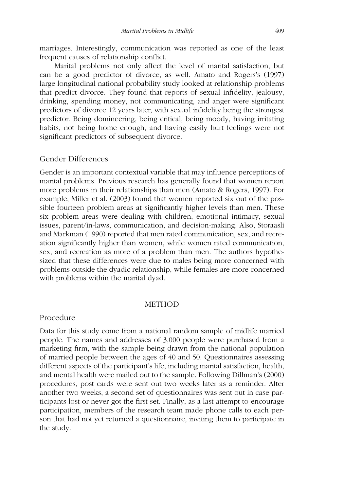marriages. Interestingly, communication was reported as one of the least frequent causes of relationship conflict.

Marital problems not only affect the level of marital satisfaction, but can be a good predictor of divorce, as well. Amato and Rogers's (1997) large longitudinal national probability study looked at relationship problems that predict divorce. They found that reports of sexual infidelity, jealousy, drinking, spending money, not communicating, and anger were significant predictors of divorce 12 years later, with sexual infidelity being the strongest predictor. Being domineering, being critical, being moody, having irritating habits, not being home enough, and having easily hurt feelings were not significant predictors of subsequent divorce.

#### Gender Differences

Gender is an important contextual variable that may influence perceptions of marital problems. Previous research has generally found that women report more problems in their relationships than men (Amato & Rogers, 1997). For example, Miller et al. (2003) found that women reported six out of the possible fourteen problem areas at significantly higher levels than men. These six problem areas were dealing with children, emotional intimacy, sexual issues, parent/in-laws, communication, and decision-making. Also, Storaasli and Markman (1990) reported that men rated communication, sex, and recreation significantly higher than women, while women rated communication, sex, and recreation as more of a problem than men. The authors hypothesized that these differences were due to males being more concerned with problems outside the dyadic relationship, while females are more concerned with problems within the marital dyad.

#### METHOD

#### Procedure

Data for this study come from a national random sample of midlife married people. The names and addresses of 3,000 people were purchased from a marketing firm, with the sample being drawn from the national population of married people between the ages of 40 and 50. Questionnaires assessing different aspects of the participant's life, including marital satisfaction, health, and mental health were mailed out to the sample. Following Dillman's (2000) procedures, post cards were sent out two weeks later as a reminder. After another two weeks, a second set of questionnaires was sent out in case participants lost or never got the first set. Finally, as a last attempt to encourage participation, members of the research team made phone calls to each person that had not yet returned a questionnaire, inviting them to participate in the study.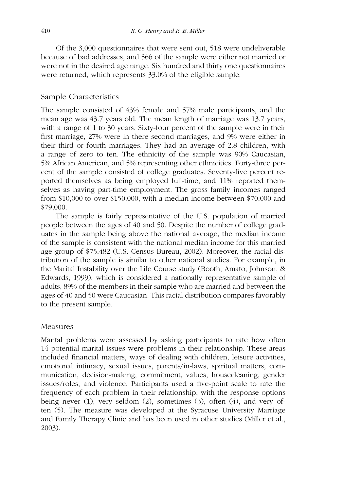Of the 3,000 questionnaires that were sent out, 518 were undeliverable because of bad addresses, and 566 of the sample were either not married or were not in the desired age range. Six hundred and thirty one questionnaires were returned, which represents 33.0% of the eligible sample.

## Sample Characteristics

The sample consisted of 43% female and 57% male participants, and the mean age was 43.7 years old. The mean length of marriage was 13.7 years, with a range of 1 to 30 years. Sixty-four percent of the sample were in their first marriage, 27% were in there second marriages, and 9% were either in their third or fourth marriages. They had an average of 2.8 children, with a range of zero to ten. The ethnicity of the sample was 90% Caucasian, 5% African American, and 5% representing other ethnicities. Forty-three percent of the sample consisted of college graduates. Seventy-five percent reported themselves as being employed full-time, and 11% reported themselves as having part-time employment. The gross family incomes ranged from \$10,000 to over \$150,000, with a median income between \$70,000 and \$79,000.

The sample is fairly representative of the U.S. population of married people between the ages of 40 and 50. Despite the number of college graduates in the sample being above the national average, the median income of the sample is consistent with the national median income for this married age group of \$75,482 (U.S. Census Bureau, 2002). Moreover, the racial distribution of the sample is similar to other national studies. For example, in the Marital Instability over the Life Course study (Booth, Amato, Johnson, & Edwards, 1999), which is considered a nationally representative sample of adults, 89% of the members in their sample who are married and between the ages of 40 and 50 were Caucasian. This racial distribution compares favorably to the present sample.

### Measures

Marital problems were assessed by asking participants to rate how often 14 potential marital issues were problems in their relationship. These areas included financial matters, ways of dealing with children, leisure activities, emotional intimacy, sexual issues, parents/in-laws, spiritual matters, communication, decision-making, commitment, values, housecleaning, gender issues/roles, and violence. Participants used a five-point scale to rate the frequency of each problem in their relationship, with the response options being never (1), very seldom (2), sometimes (3), often (4), and very often (5). The measure was developed at the Syracuse University Marriage and Family Therapy Clinic and has been used in other studies (Miller et al., 2003).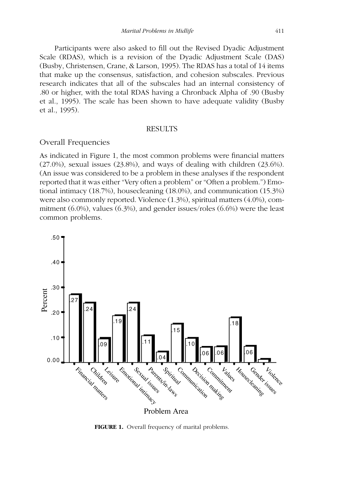Participants were also asked to fill out the Revised Dyadic Adjustment Scale (RDAS), which is a revision of the Dyadic Adjustment Scale (DAS) (Busby, Christensen, Crane, & Larson, 1995). The RDAS has a total of 14 items that make up the consensus, satisfaction, and cohesion subscales. Previous research indicates that all of the subscales had an internal consistency of .80 or higher, with the total RDAS having a Chronback Alpha of .90 (Busby et al., 1995). The scale has been shown to have adequate validity (Busby et al., 1995).

#### RESULTS

#### Overall Frequencies

As indicated in Figure 1, the most common problems were financial matters (27.0%), sexual issues (23.8%), and ways of dealing with children (23.6%). (An issue was considered to be a problem in these analyses if the respondent reported that it was either "Very often a problem" or "Often a problem.") Emotional intimacy (18.7%), housecleaning (18.0%), and communication (15.3%) were also commonly reported. Violence (1.3%), spiritual matters (4.0%), commitment (6.0%), values (6.3%), and gender issues/roles (6.6%) were the least common problems.



**FIGURE 1.** Overall frequency of marital problems.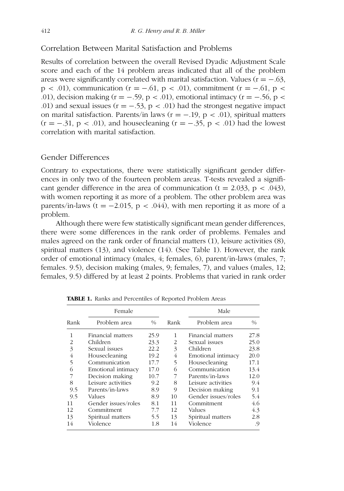## Correlation Between Marital Satisfaction and Problems

Results of correlation between the overall Revised Dyadic Adjustment Scale score and each of the 14 problem areas indicated that all of the problem areas were significantly correlated with marital satisfaction. Values ( $r = -.63$ ,  $p < .01$ ), communication (r = -.61, p < .01), commitment (r = -.61, p < .01), decision making ( $r = -.59$ ,  $p < .01$ ), emotional intimacy ( $r = -.56$ ,  $p <$ .01) and sexual issues ( $r = -.53$ ,  $p < .01$ ) had the strongest negative impact on marital satisfaction. Parents/in laws ( $r = -.19$ ,  $p < .01$ ), spiritual matters  $(r = -.31, p < .01)$ , and housecleaning  $(r = -.35, p < .01)$  had the lowest correlation with marital satisfaction.

### Gender Differences

Contrary to expectations, there were statistically significant gender differences in only two of the fourteen problem areas. T-tests revealed a significant gender difference in the area of communication ( $t = 2.033$ ,  $p < .043$ ), with women reporting it as more of a problem. The other problem area was parents/in-laws (t =  $-2.015$ , p < .044), with men reporting it as more of a problem.

Although there were few statistically significant mean gender differences, there were some differences in the rank order of problems. Females and males agreed on the rank order of financial matters (1), leisure activities (8), spiritual matters (13), and violence (14). (See Table 1). However, the rank order of emotional intimacy (males, 4; females, 6), parent/in-laws (males, 7; females. 9.5), decision making (males, 9; females, 7), and values (males, 12; females, 9.5) differed by at least 2 points. Problems that varied in rank order

|      | Female              |               |      | Male                |      |
|------|---------------------|---------------|------|---------------------|------|
| Rank | Problem area        | $\frac{0}{0}$ | Rank | Problem area        | $\%$ |
| 1    | Financial matters   | 25.9          | 1    | Financial matters   | 27.8 |
| 2    | Children            | 23.3          | 2    | Sexual issues       | 25.0 |
| 3    | Sexual issues       | 22.2          | 3    | Children            | 23.8 |
| 4    | Housecleaning       | 19.2          | 4    | Emotional intimacy  | 20.0 |
| 5    | Communication       | 17.7          | 5    | Housecleaning       | 17.1 |
| 6    | Emotional intimacy  | 17.0          | 6    | Communication       | 13.4 |
| 7    | Decision making     | 10.7          | 7    | Parents/in-laws     | 12.0 |
| 8    | Leisure activities  | 9.2           | 8    | Leisure activities  | 9.4  |
| 9.5  | Parents/in-laws     | 8.9           | 9    | Decision making     | 9.1  |
| 9.5  | Values              | 8.9           | 10   | Gender issues/roles | 5.4  |
| 11   | Gender issues/roles | 8.1           | 11   | Commitment          | 4.6  |
| 12   | Commitment          | 7.7           | 12   | Values              | 4.3  |
| 13   | Spiritual matters   | 5.5           | 13   | Spiritual matters   | 2.8  |
| 14   | Violence            | 1.8           | 14   | Violence            | .9   |

**TABLE 1.** Ranks and Percentiles of Reported Problem Areas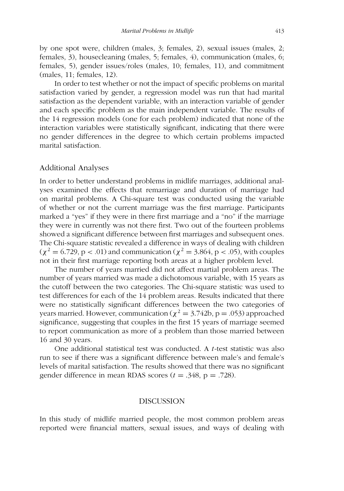by one spot were, children (males, 3; females, 2), sexual issues (males, 2; females, 3), housecleaning (males, 5; females, 4), communication (males, 6; females, 5), gender issues/roles (males, 10; females, 11), and commitment (males, 11; females, 12).

In order to test whether or not the impact of specific problems on marital satisfaction varied by gender, a regression model was run that had marital satisfaction as the dependent variable, with an interaction variable of gender and each specific problem as the main independent variable. The results of the 14 regression models (one for each problem) indicated that none of the interaction variables were statistically significant, indicating that there were no gender differences in the degree to which certain problems impacted marital satisfaction.

### Additional Analyses

In order to better understand problems in midlife marriages, additional analyses examined the effects that remarriage and duration of marriage had on marital problems. A Chi-square test was conducted using the variable of whether or not the current marriage was the first marriage. Participants marked a "yes" if they were in there first marriage and a "no" if the marriage they were in currently was not there first. Two out of the fourteen problems showed a significant difference between first marriages and subsequent ones. The Chi-square statistic revealed a difference in ways of dealing with children  $(\chi^2 = 6.729, p < .01)$  and communication  $(\chi^2 = 3.864, p < .05)$ , with couples not in their first marriage reporting both areas at a higher problem level.

The number of years married did not affect martial problem areas. The number of years married was made a dichotomous variable, with 15 years as the cutoff between the two categories. The Chi-square statistic was used to test differences for each of the 14 problem areas. Results indicated that there were no statistically significant differences between the two categories of years married. However, communication ( $\chi^2 = 3.742b$ , p = .053) approached significance, suggesting that couples in the first 15 years of marriage seemed to report communication as more of a problem than those married between 16 and 30 years.

One additional statistical test was conducted. A *t*-test statistic was also run to see if there was a significant difference between male's and female's levels of marital satisfaction. The results showed that there was no significant gender difference in mean RDAS scores  $(t = .348, p = .728)$ .

#### DISCUSSION

In this study of midlife married people, the most common problem areas reported were financial matters, sexual issues, and ways of dealing with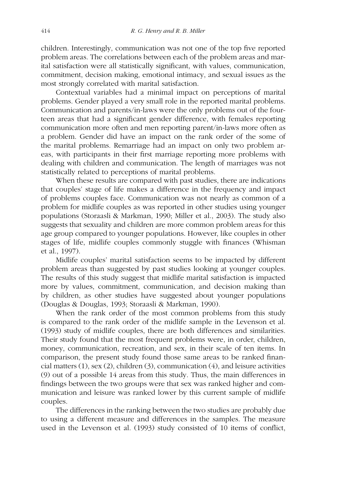children. Interestingly, communication was not one of the top five reported problem areas. The correlations between each of the problem areas and marital satisfaction were all statistically significant, with values, communication, commitment, decision making, emotional intimacy, and sexual issues as the most strongly correlated with marital satisfaction.

Contextual variables had a minimal impact on perceptions of marital problems. Gender played a very small role in the reported marital problems. Communication and parents/in-laws were the only problems out of the fourteen areas that had a significant gender difference, with females reporting communication more often and men reporting parent/in-laws more often as a problem. Gender did have an impact on the rank order of the some of the marital problems. Remarriage had an impact on only two problem areas, with participants in their first marriage reporting more problems with dealing with children and communication. The length of marriages was not statistically related to perceptions of marital problems.

When these results are compared with past studies, there are indications that couples' stage of life makes a difference in the frequency and impact of problems couples face. Communication was not nearly as common of a problem for midlife couples as was reported in other studies using younger populations (Storaasli & Markman, 1990; Miller et al., 2003). The study also suggests that sexuality and children are more common problem areas for this age group compared to younger populations. However, like couples in other stages of life, midlife couples commonly stuggle with finances (Whisman et al., 1997).

Midlife couples' marital satisfaction seems to be impacted by different problem areas than suggested by past studies looking at younger couples. The results of this study suggest that midlife marital satisfaction is impacted more by values, commitment, communication, and decision making than by children, as other studies have suggested about younger populations (Douglas & Douglas, 1993; Storaasli & Markman, 1990).

When the rank order of the most common problems from this study is compared to the rank order of the midlife sample in the Levenson et al. (1993) study of midlife couples, there are both differences and similarities. Their study found that the most frequent problems were, in order, children, money, communication, recreation, and sex, in their scale of ten items. In comparison, the present study found those same areas to be ranked financial matters (1), sex (2), children (3), communication (4), and leisure activities (9) out of a possible 14 areas from this study. Thus, the main differences in findings between the two groups were that sex was ranked higher and communication and leisure was ranked lower by this current sample of midlife couples.

The differences in the ranking between the two studies are probably due to using a different measure and differences in the samples. The measure used in the Levenson et al. (1993) study consisted of 10 items of conflict,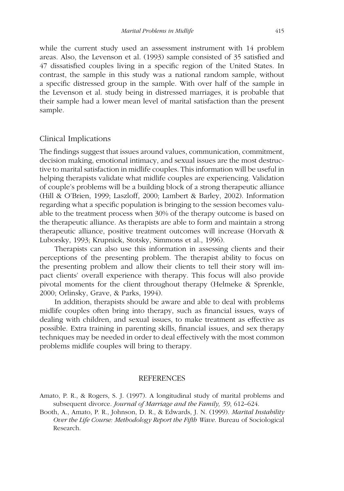while the current study used an assessment instrument with 14 problem areas. Also, the Levenson et al. (1993) sample consisted of 35 satisfied and 47 dissatisfied couples living in a specific region of the United States. In contrast, the sample in this study was a national random sample, without a specific distressed group in the sample. With over half of the sample in the Levenson et al. study being in distressed marriages, it is probable that their sample had a lower mean level of marital satisfaction than the present sample.

### Clinical Implications

The findings suggest that issues around values, communication, commitment, decision making, emotional intimacy, and sexual issues are the most destructive to marital satisfaction in midlife couples. This information will be useful in helping therapists validate what midlife couples are experiencing. Validation of couple's problems will be a building block of a strong therapeutic alliance (Hill & O'Brien, 1999; Laszloff, 2000; Lambert & Barley, 2002). Information regarding what a specific population is bringing to the session becomes valuable to the treatment process when 30% of the therapy outcome is based on the therapeutic alliance. As therapists are able to form and maintain a strong therapeutic alliance, positive treatment outcomes will increase (Horvath & Luborsky, 1993; Krupnick, Stotsky, Simmons et al., 1996).

Therapists can also use this information in assessing clients and their perceptions of the presenting problem. The therapist ability to focus on the presenting problem and allow their clients to tell their story will impact clients' overall experience with therapy. This focus will also provide pivotal moments for the client throughout therapy (Helmeke & Sprenkle, 2000; Orlinsky, Grave, & Parks, 1994).

In addition, therapists should be aware and able to deal with problems midlife couples often bring into therapy, such as financial issues, ways of dealing with children, and sexual issues, to make treatment as effective as possible. Extra training in parenting skills, financial issues, and sex therapy techniques may be needed in order to deal effectively with the most common problems midlife couples will bring to therapy.

#### **REFERENCES**

- Amato, P. R., & Rogers, S. J. (1997). A longitudinal study of marital problems and subsequent divorce. *Journal of Marriage and the Family, 59*, 612–624.
- Booth, A., Amato, P. R., Johnson, D. R., & Edwards, J. N. (1999). *Marital Instability Over the Life Course: Methodology Report the Fifth Wave*. Bureau of Sociological Research.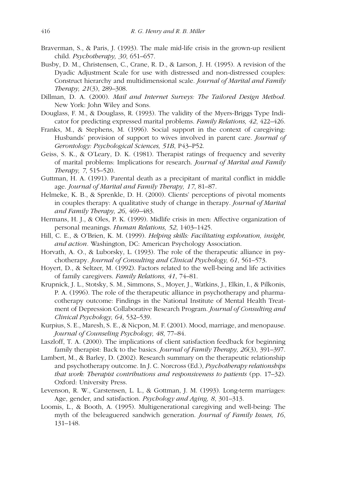- Braverman, S., & Paris, J. (1993). The male mid-life crisis in the grown-up resilient child. *Psychotherapy, 30*, 651–657.
- Busby, D. M., Christensen, C., Crane, R. D., & Larson, J. H. (1995). A revision of the Dyadic Adjustment Scale for use with distressed and non-distressed couples: Construct hierarchy and multidimensional scale. *Journal of Marital and Family Therapy, 21*(3), 289–308.
- Dillman, D. A. (2000). *Mail and Internet Surveys: The Tailored Design Method.* New York: John Wiley and Sons.
- Douglass, F. M., & Douglass, R. (1993). The validity of the Myers-Briggs Type Indicator for predicting expressed marital problems. *Family Relations, 42*, 422–426.
- Franks, M., & Stephens, M. (1996). Social support in the context of caregiving: Husbands' provision of support to wives involved in parent care. *Journal of Gerontology: Psychological Sciences, 51B*, P43–P52.
- Geiss, S. K., & O'Leary, D. K. (1981). Therapist ratings of frequency and severity of marital problems: Implications for research. *Journal of Marital and Family Therapy, 7*, 515–520.
- Guttman, H. A. (1991). Parental death as a precipitant of marital conflict in middle age. *Journal of Marital and Family Therapy, 17*, 81–87.
- Helmeke, K. B., & Sprenkle, D. H. (2000). Clients' perceptions of pivotal moments in couples therapy: A qualitative study of change in therapy. *Journal of Marital and Family Therapy, 26*, 469–483.
- Hermans, H. J., & Oles, P. K. (1999). Midlife crisis in men: Affective organization of personal meanings. *Human Relations, 52*, 1403–1425.
- Hill, C. E., & O'Brien, K. M. (1999). *Helping skills: Facilitating exploration, insight, and action.* Washington, DC: American Psychology Association.
- Horvath, A. O., & Luborsky, L. (1993). The role of the therapeutic alliance in psychotherapy. *Journal of Consulting and Clinical Psychology, 61*, 561–573.
- Hoyert, D., & Seltzer, M. (1992). Factors related to the well-being and life activities of family caregivers. *Family Relations, 41*, 74–81.
- Krupnick, J. L., Stotsky, S. M., Simmons, S., Moyer, J., Watkins, J., Elkin, I., & Pilkonis, P. A. (1996). The role of the therapeutic alliance in psychotherapy and pharmacotherapy outcome: Findings in the National Institute of Mental Health Treatment of Depression Collaborative Research Program. *Journal of Consulting and Clinical Psychology, 64*, 532–539.
- Kurpius, S. E., Maresh, S. E., & Nicpon, M. F. (2001). Mood, marriage, and menopause. *Journal of Counseling Psychology, 48*, 77–84.
- Laszloff, T. A. (2000). The implications of client satisfaction feedback for beginning family therapist: Back to the basics. *Journal of Family Therapy, 26*(3), 391–397.
- Lambert, M., & Barley, D. (2002). Research summary on the therapeutic relationship and psychotherapy outcome. In J. C. Norcross (Ed.), *Psychotherapy relationships that work: Therapist contributions and responsiveness to patients* (pp. 17–32). Oxford: University Press.
- Levenson, R. W., Carstensen, L. L., & Gottman, J. M. (1993). Long-term marriages: Age, gender, and satisfaction. *Psychology and Aging, 8*, 301–313.
- Loomis, L., & Booth, A. (1995). Multigenerational caregiving and well-being: The myth of the beleaguered sandwich generation. *Journal of Family Issues, 16*, 131–148.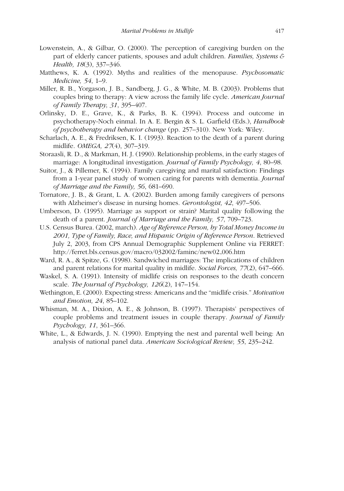- Lowenstein, A., & Gilbar, O. (2000). The perception of caregiving burden on the part of elderly cancer patients, spouses and adult children. *Families, Systems & Health, 18*(3), 337–346.
- Matthews, K. A. (1992). Myths and realities of the menopause. *Psychosomatic Medicine, 54*, 1–9.
- Miller, R. B., Yorgason, J. B., Sandberg, J. G., & White, M. B. (2003). Problems that couples bring to therapy: A view across the family life cycle. *American Journal of Family Therapy, 31*, 395–407.
- Orlinsky, D. E., Grave, K., & Parks, B. K. (1994). Process and outcome in psychotherapy-Noch einmal. In A. E. Bergin & S. L. Garfield (Eds.), *Handbook of psychotherapy and behavior change* (pp. 257–310). New York: Wiley.
- Scharlach, A. E., & Fredriksen, K. I. (1993). Reaction to the death of a parent during midlife. *OMEGA, 27*(4), 307–319.
- Storaasli, R. D., & Markman, H. J. (1990). Relationship problems, in the early stages of marriage: A longitudinal investigation. *Journal of Family Psychology, 4*, 80–98.
- Suitor, J., & Pillemer, K. (1994). Family caregiving and marital satisfaction: Findings from a 1-year panel study of women caring for parents with dementia. *Journal of Marriage and the Family, 56*, 681–690.
- Tornatore, J. B., & Grant, L. A. (2002). Burden among family caregivers of persons with Alzheimer's disease in nursing homes. *Gerontologist, 42*, 497–506.
- Umberson, D. (1995). Marriage as support or strain? Marital quality following the death of a parent. *Journal of Marriage and the Family, 57*, 709–723.
- U.S. Census Burea. (2002, march). *Age of Reference Person, by Total Money Income in 2001, Type of Family, Race, and Hispanic Origin of Reference Person*. Retrieved July 2, 2003, from CPS Annual Demographic Supplement Online via FERRET: http://ferret.bls.census.gov/macro/032002/faminc/new02 006.htm
- Ward, R. A., & Spitze, G. (1998). Sandwiched marriages: The implications of children and parent relations for marital quality in midlife. *Social Forces, 77*(2), 647–666.
- Waskel, S. A. (1991). Intensity of midlife crisis on responses to the death concern scale. *The Journal of Psychology, 126*(2), 147–154.
- Wethington, E. (2000). Expecting stress: Americans and the "midlife crisis." *Motivation and Emotion, 24*, 85–102.
- Whisman, M. A., Dixion, A. E., & Johnson, B. (1997). Therapists' perspectives of couple problems and treatment issues in couple therapy. *Journal of Family Psychology, 11*, 361–366.
- White, L., & Edwards, J. N. (1990). Emptying the nest and parental well being: An analysis of national panel data. *American Sociological Review, 55*, 235–242.